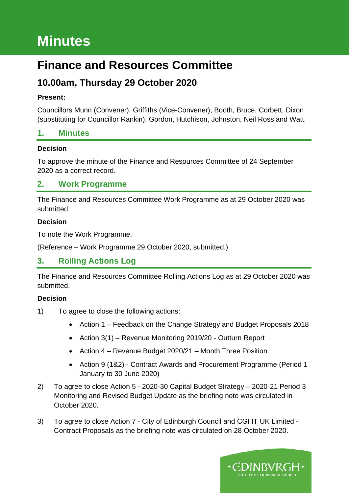# **Minutes**

## **Finance and Resources Committee**

### **10.00am, Thursday 29 October 2020**

#### **Present:**

Councillors Munn (Convener), Griffiths (Vice-Convener), Booth, Bruce, Corbett, Dixon (substituting for Councillor Rankin), Gordon, Hutchison, Johnston, Neil Ross and Watt.

### **1. Minutes**

#### **Decision**

To approve the minute of the Finance and Resources Committee of 24 September 2020 as a correct record.

### **2. Work Programme**

The Finance and Resources Committee Work Programme as at 29 October 2020 was submitted.

#### **Decision**

To note the Work Programme.

(Reference – Work Programme 29 October 2020, submitted.)

### **3. Rolling Actions Log**

The Finance and Resources Committee Rolling Actions Log as at 29 October 2020 was submitted.

- 1) To agree to close the following actions:
	- Action 1 Feedback on the Change Strategy and Budget Proposals 2018
	- Action 3(1) Revenue Monitoring 2019/20 Outturn Report
	- Action 4 Revenue Budget 2020/21 Month Three Position
	- Action 9 (1&2) Contract Awards and Procurement Programme (Period 1 January to 30 June 2020)
- 2) To agree to close Action 5 2020-30 Capital Budget Strategy 2020-21 Period 3 Monitoring and Revised Budget Update as the briefing note was circulated in October 2020.
- 3) To agree to close Action 7 City of Edinburgh Council and CGI IT UK Limited Contract Proposals as the briefing note was circulated on 28 October 2020.

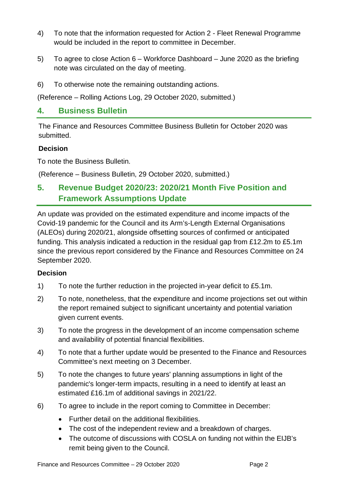- 4) To note that the information requested for Action 2 Fleet Renewal Programme would be included in the report to committee in December.
- 5) To agree to close Action 6 Workforce Dashboard June 2020 as the briefing note was circulated on the day of meeting.
- 6) To otherwise note the remaining outstanding actions.

(Reference – Rolling Actions Log, 29 October 2020, submitted.)

### **4. Business Bulletin**

The Finance and Resources Committee Business Bulletin for October 2020 was submitted.

#### **Decision**

To note the Business Bulletin.

(Reference – Business Bulletin, 29 October 2020, submitted.)

### **5. Revenue Budget 2020/23: 2020/21 Month Five Position and Framework Assumptions Update**

An update was provided on the estimated expenditure and income impacts of the Covid-19 pandemic for the Council and its Arm's-Length External Organisations (ALEOs) during 2020/21, alongside offsetting sources of confirmed or anticipated funding. This analysis indicated a reduction in the residual gap from £12.2m to £5.1m since the previous report considered by the Finance and Resources Committee on 24 September 2020.

- 1) To note the further reduction in the projected in-year deficit to £5.1m.
- 2) To note, nonetheless, that the expenditure and income projections set out within the report remained subject to significant uncertainty and potential variation given current events.
- 3) To note the progress in the development of an income compensation scheme and availability of potential financial flexibilities.
- 4) To note that a further update would be presented to the Finance and Resources Committee's next meeting on 3 December.
- 5) To note the changes to future years' planning assumptions in light of the pandemic's longer-term impacts, resulting in a need to identify at least an estimated £16.1m of additional savings in 2021/22.
- 6) To agree to include in the report coming to Committee in December:
	- Further detail on the additional flexibilities.
	- The cost of the independent review and a breakdown of charges.
	- The outcome of discussions with COSLA on funding not within the EIJB's remit being given to the Council.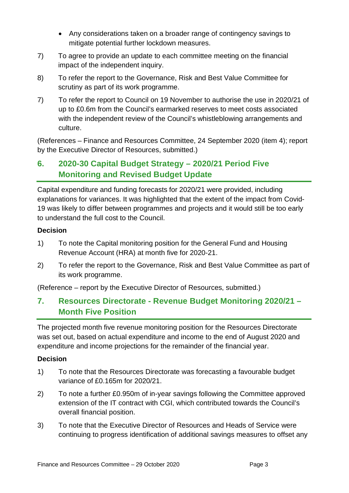- Any considerations taken on a broader range of contingency savings to mitigate potential further lockdown measures.
- 7) To agree to provide an update to each committee meeting on the financial impact of the independent inquiry.
- 8) To refer the report to the Governance, Risk and Best Value Committee for scrutiny as part of its work programme.
- 7) To refer the report to Council on 19 November to authorise the use in 2020/21 of up to £0.6m from the Council's earmarked reserves to meet costs associated with the independent review of the Council's whistleblowing arrangements and culture.

(References – Finance and Resources Committee, 24 September 2020 (item 4); report by the Executive Director of Resources, submitted.)

### **6. 2020-30 Capital Budget Strategy – 2020/21 Period Five Monitoring and Revised Budget Update**

Capital expenditure and funding forecasts for 2020/21 were provided, including explanations for variances. It was highlighted that the extent of the impact from Covid-19 was likely to differ between programmes and projects and it would still be too early to understand the full cost to the Council.

#### **Decision**

- 1) To note the Capital monitoring position for the General Fund and Housing Revenue Account (HRA) at month five for 2020-21.
- 2) To refer the report to the Governance, Risk and Best Value Committee as part of its work programme.

(Reference – report by the Executive Director of Resources, submitted.)

### **7. Resources Directorate - Revenue Budget Monitoring 2020/21 – Month Five Position**

The projected month five revenue monitoring position for the Resources Directorate was set out, based on actual expenditure and income to the end of August 2020 and expenditure and income projections for the remainder of the financial year.

- 1) To note that the Resources Directorate was forecasting a favourable budget variance of £0.165m for 2020/21.
- 2) To note a further £0.950m of in-year savings following the Committee approved extension of the IT contract with CGI, which contributed towards the Council's overall financial position.
- 3) To note that the Executive Director of Resources and Heads of Service were continuing to progress identification of additional savings measures to offset any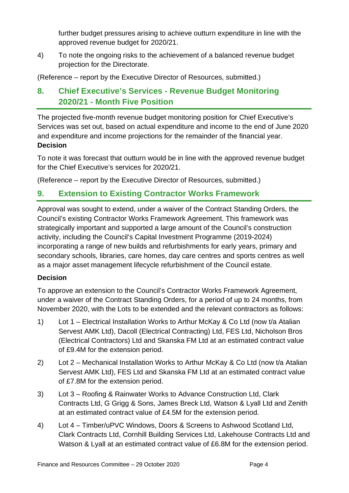further budget pressures arising to achieve outturn expenditure in line with the approved revenue budget for 2020/21.

4) To note the ongoing risks to the achievement of a balanced revenue budget projection for the Directorate.

(Reference – report by the Executive Director of Resources, submitted.)

### **8. Chief Executive's Services - Revenue Budget Monitoring 2020/21 - Month Five Position**

The projected five-month revenue budget monitoring position for Chief Executive's Services was set out, based on actual expenditure and income to the end of June 2020 and expenditure and income projections for the remainder of the financial year. **Decision**

To note it was forecast that outturn would be in line with the approved revenue budget for the Chief Executive's services for 2020/21.

(Reference – report by the Executive Director of Resources, submitted.)

### **9. Extension to Existing Contractor Works Framework**

Approval was sought to extend, under a waiver of the Contract Standing Orders, the Council's existing Contractor Works Framework Agreement. This framework was strategically important and supported a large amount of the Council's construction activity, including the Council's Capital Investment Programme (2019-2024) incorporating a range of new builds and refurbishments for early years, primary and secondary schools, libraries, care homes, day care centres and sports centres as well as a major asset management lifecycle refurbishment of the Council estate.

#### **Decision**

To approve an extension to the Council's Contractor Works Framework Agreement, under a waiver of the Contract Standing Orders, for a period of up to 24 months, from November 2020, with the Lots to be extended and the relevant contractors as follows:

- 1) Lot 1 Electrical Installation Works to Arthur McKay & Co Ltd (now t/a Atalian Servest AMK Ltd), Dacoll (Electrical Contracting) Ltd, FES Ltd, Nicholson Bros (Electrical Contractors) Ltd and Skanska FM Ltd at an estimated contract value of £9.4M for the extension period.
- 2) Lot 2 Mechanical Installation Works to Arthur McKay & Co Ltd (now t/a Atalian Servest AMK Ltd), FES Ltd and Skanska FM Ltd at an estimated contract value of £7.8M for the extension period.
- 3) Lot 3 Roofing & Rainwater Works to Advance Construction Ltd, Clark Contracts Ltd, G Grigg & Sons, James Breck Ltd, Watson & Lyall Ltd and Zenith at an estimated contract value of £4.5M for the extension period.
- 4) Lot 4 Timber/uPVC Windows, Doors & Screens to Ashwood Scotland Ltd, Clark Contracts Ltd, Cornhill Building Services Ltd, Lakehouse Contracts Ltd and Watson & Lyall at an estimated contract value of £6.8M for the extension period.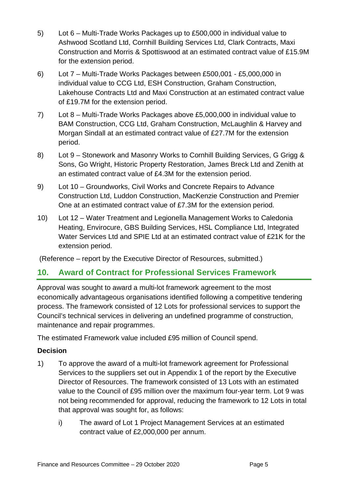- 5) Lot 6 Multi-Trade Works Packages up to £500,000 in individual value to Ashwood Scotland Ltd, Cornhill Building Services Ltd, Clark Contracts, Maxi Construction and Morris & Spottiswood at an estimated contract value of £15.9M for the extension period.
- 6) Lot 7 Multi-Trade Works Packages between £500,001 £5,000,000 in individual value to CCG Ltd, ESH Construction, Graham Construction, Lakehouse Contracts Ltd and Maxi Construction at an estimated contract value of £19.7M for the extension period.
- 7) Lot 8 Multi-Trade Works Packages above £5,000,000 in individual value to BAM Construction, CCG Ltd, Graham Construction, McLaughlin & Harvey and Morgan Sindall at an estimated contract value of £27.7M for the extension period.
- 8) Lot 9 Stonework and Masonry Works to Cornhill Building Services, G Grigg & Sons, Go Wright, Historic Property Restoration, James Breck Ltd and Zenith at an estimated contract value of £4.3M for the extension period.
- 9) Lot 10 Groundworks, Civil Works and Concrete Repairs to Advance Construction Ltd, Luddon Construction, MacKenzie Construction and Premier One at an estimated contract value of £7.3M for the extension period.
- 10) Lot 12 Water Treatment and Legionella Management Works to Caledonia Heating, Envirocure, GBS Building Services, HSL Compliance Ltd, Integrated Water Services Ltd and SPIE Ltd at an estimated contract value of £21K for the extension period.

(Reference – report by the Executive Director of Resources, submitted.)

### **10. Award of Contract for Professional Services Framework**

Approval was sought to award a multi-lot framework agreement to the most economically advantageous organisations identified following a competitive tendering process. The framework consisted of 12 Lots for professional services to support the Council's technical services in delivering an undefined programme of construction, maintenance and repair programmes.

The estimated Framework value included £95 million of Council spend.

- 1) To approve the award of a multi-lot framework agreement for Professional Services to the suppliers set out in Appendix 1 of the report by the Executive Director of Resources. The framework consisted of 13 Lots with an estimated value to the Council of £95 million over the maximum four-year term. Lot 9 was not being recommended for approval, reducing the framework to 12 Lots in total that approval was sought for, as follows:
	- i) The award of Lot 1 Project Management Services at an estimated contract value of £2,000,000 per annum.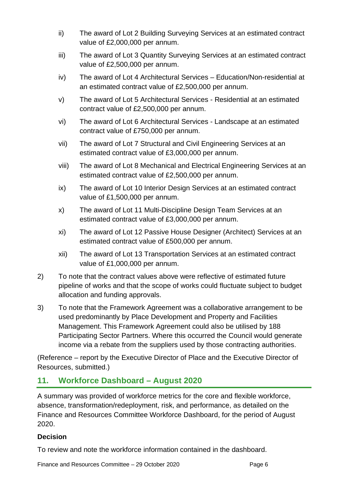- ii) The award of Lot 2 Building Surveying Services at an estimated contract value of £2,000,000 per annum.
- iii) The award of Lot 3 Quantity Surveying Services at an estimated contract value of £2,500,000 per annum.
- iv) The award of Lot 4 Architectural Services Education/Non-residential at an estimated contract value of £2,500,000 per annum.
- v) The award of Lot 5 Architectural Services Residential at an estimated contract value of £2,500,000 per annum.
- vi) The award of Lot 6 Architectural Services Landscape at an estimated contract value of £750,000 per annum.
- vii) The award of Lot 7 Structural and Civil Engineering Services at an estimated contract value of £3,000,000 per annum.
- viii) The award of Lot 8 Mechanical and Electrical Engineering Services at an estimated contract value of £2,500,000 per annum.
- ix) The award of Lot 10 Interior Design Services at an estimated contract value of £1,500,000 per annum.
- x) The award of Lot 11 Multi-Discipline Design Team Services at an estimated contract value of £3,000,000 per annum.
- xi) The award of Lot 12 Passive House Designer (Architect) Services at an estimated contract value of £500,000 per annum.
- xii) The award of Lot 13 Transportation Services at an estimated contract value of £1,000,000 per annum.
- 2) To note that the contract values above were reflective of estimated future pipeline of works and that the scope of works could fluctuate subject to budget allocation and funding approvals.
- 3) To note that the Framework Agreement was a collaborative arrangement to be used predominantly by Place Development and Property and Facilities Management. This Framework Agreement could also be utilised by 188 Participating Sector Partners. Where this occurred the Council would generate income via a rebate from the suppliers used by those contracting authorities.

(Reference – report by the Executive Director of Place and the Executive Director of Resources, submitted.)

### **11. Workforce Dashboard – August 2020**

A summary was provided of workforce metrics for the core and flexible workforce, absence, transformation/redeployment, risk, and performance, as detailed on the Finance and Resources Committee Workforce Dashboard, for the period of August 2020.

#### **Decision**

To review and note the workforce information contained in the dashboard.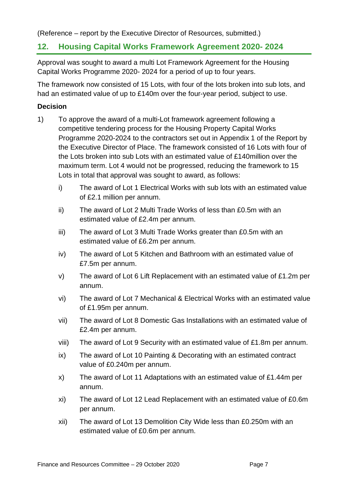(Reference – report by the Executive Director of Resources, submitted.)

### **12. Housing Capital Works Framework Agreement 2020- 2024**

Approval was sought to award a multi Lot Framework Agreement for the Housing Capital Works Programme 2020- 2024 for a period of up to four years.

The framework now consisted of 15 Lots, with four of the lots broken into sub lots, and had an estimated value of up to £140m over the four-year period, subject to use.

- 1) To approve the award of a multi-Lot framework agreement following a competitive tendering process for the Housing Property Capital Works Programme 2020-2024 to the contractors set out in Appendix 1 of the Report by the Executive Director of Place. The framework consisted of 16 Lots with four of the Lots broken into sub Lots with an estimated value of £140million over the maximum term. Lot 4 would not be progressed, reducing the framework to 15 Lots in total that approval was sought to award, as follows:
	- i) The award of Lot 1 Electrical Works with sub lots with an estimated value of £2.1 million per annum.
	- ii) The award of Lot 2 Multi Trade Works of less than £0.5m with an estimated value of £2.4m per annum.
	- iii) The award of Lot 3 Multi Trade Works greater than £0.5m with an estimated value of £6.2m per annum.
	- iv) The award of Lot 5 Kitchen and Bathroom with an estimated value of £7.5m per annum.
	- v) The award of Lot 6 Lift Replacement with an estimated value of £1.2m per annum.
	- vi) The award of Lot 7 Mechanical & Electrical Works with an estimated value of £1.95m per annum.
	- vii) The award of Lot 8 Domestic Gas Installations with an estimated value of £2.4m per annum.
	- viii) The award of Lot 9 Security with an estimated value of £1.8m per annum.
	- ix) The award of Lot 10 Painting & Decorating with an estimated contract value of £0.240m per annum.
	- x) The award of Lot 11 Adaptations with an estimated value of £1.44m per annum.
	- xi) The award of Lot 12 Lead Replacement with an estimated value of £0.6m per annum.
	- xii) The award of Lot 13 Demolition City Wide less than £0.250m with an estimated value of £0.6m per annum.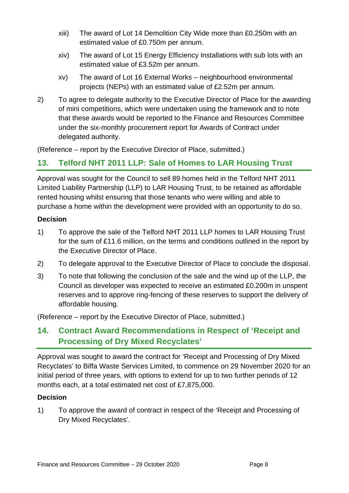- xiii) The award of Lot 14 Demolition City Wide more than £0.250m with an estimated value of £0.750m per annum.
- xiv) The award of Lot 15 Energy Efficiency Installations with sub lots with an estimated value of £3.52m per annum.
- xv) The award of Lot 16 External Works neighbourhood environmental projects (NEPs) with an estimated value of £2.52m per annum.
- 2) To agree to delegate authority to the Executive Director of Place for the awarding of mini competitions, which were undertaken using the framework and to note that these awards would be reported to the Finance and Resources Committee under the six-monthly procurement report for Awards of Contract under delegated authority.

(Reference – report by the Executive Director of Place, submitted.)

### **13. Telford NHT 2011 LLP: Sale of Homes to LAR Housing Trust**

Approval was sought for the Council to sell 89 homes held in the Telford NHT 2011 Limited Liability Partnership (LLP) to LAR Housing Trust, to be retained as affordable rented housing whilst ensuring that those tenants who were willing and able to purchase a home within the development were provided with an opportunity to do so.

#### **Decision**

- 1) To approve the sale of the Telford NHT 2011 LLP homes to LAR Housing Trust for the sum of £11.6 million, on the terms and conditions outlined in the report by the Executive Director of Place.
- 2) To delegate approval to the Executive Director of Place to conclude the disposal.
- 3) To note that following the conclusion of the sale and the wind up of the LLP, the Council as developer was expected to receive an estimated £0.200m in unspent reserves and to approve ring-fencing of these reserves to support the delivery of affordable housing.

(Reference – report by the Executive Director of Place, submitted.)

### **14. Contract Award Recommendations in Respect of 'Receipt and Processing of Dry Mixed Recyclates'**

Approval was sought to award the contract for 'Receipt and Processing of Dry Mixed Recyclates' to Biffa Waste Services Limited, to commence on 29 November 2020 for an initial period of three years, with options to extend for up to two further periods of 12 months each, at a total estimated net cost of £7,875,000.

#### **Decision**

1) To approve the award of contract in respect of the 'Receipt and Processing of Dry Mixed Recyclates'.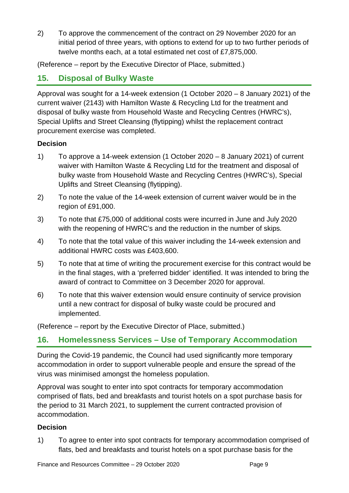2) To approve the commencement of the contract on 29 November 2020 for an initial period of three years, with options to extend for up to two further periods of twelve months each, at a total estimated net cost of £7,875,000.

(Reference – report by the Executive Director of Place, submitted.)

### **15. Disposal of Bulky Waste**

Approval was sought for a 14-week extension (1 October 2020 – 8 January 2021) of the current waiver (2143) with Hamilton Waste & Recycling Ltd for the treatment and disposal of bulky waste from Household Waste and Recycling Centres (HWRC's), Special Uplifts and Street Cleansing (flytipping) whilst the replacement contract procurement exercise was completed.

#### **Decision**

- 1) To approve a 14-week extension (1 October 2020 8 January 2021) of current waiver with Hamilton Waste & Recycling Ltd for the treatment and disposal of bulky waste from Household Waste and Recycling Centres (HWRC's), Special Uplifts and Street Cleansing (flytipping).
- 2) To note the value of the 14-week extension of current waiver would be in the region of £91,000.
- 3) To note that £75,000 of additional costs were incurred in June and July 2020 with the reopening of HWRC's and the reduction in the number of skips.
- 4) To note that the total value of this waiver including the 14-week extension and additional HWRC costs was £403,600.
- 5) To note that at time of writing the procurement exercise for this contract would be in the final stages, with a 'preferred bidder' identified. It was intended to bring the award of contract to Committee on 3 December 2020 for approval.
- 6) To note that this waiver extension would ensure continuity of service provision until a new contract for disposal of bulky waste could be procured and implemented.

(Reference – report by the Executive Director of Place, submitted.)

### **16. Homelessness Services – Use of Temporary Accommodation**

During the Covid-19 pandemic, the Council had used significantly more temporary accommodation in order to support vulnerable people and ensure the spread of the virus was minimised amongst the homeless population.

Approval was sought to enter into spot contracts for temporary accommodation comprised of flats, bed and breakfasts and tourist hotels on a spot purchase basis for the period to 31 March 2021, to supplement the current contracted provision of accommodation.

#### **Decision**

1) To agree to enter into spot contracts for temporary accommodation comprised of flats, bed and breakfasts and tourist hotels on a spot purchase basis for the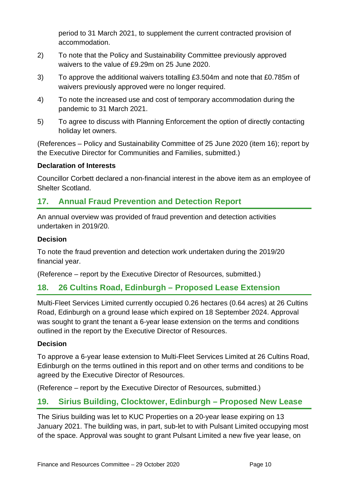period to 31 March 2021, to supplement the current contracted provision of accommodation.

- 2) To note that the Policy and Sustainability Committee previously approved waivers to the value of £9.29m on 25 June 2020.
- 3) To approve the additional waivers totalling £3.504m and note that £0.785m of waivers previously approved were no longer required.
- 4) To note the increased use and cost of temporary accommodation during the pandemic to 31 March 2021.
- 5) To agree to discuss with Planning Enforcement the option of directly contacting holiday let owners.

(References – Policy and Sustainability Committee of 25 June 2020 (item 16); report by the Executive Director for Communities and Families, submitted.)

#### **Declaration of Interests**

Councillor Corbett declared a non-financial interest in the above item as an employee of Shelter Scotland.

### **17. Annual Fraud Prevention and Detection Report**

An annual overview was provided of fraud prevention and detection activities undertaken in 2019/20.

#### **Decision**

To note the fraud prevention and detection work undertaken during the 2019/20 financial year.

(Reference – report by the Executive Director of Resources, submitted.)

### **18. 26 Cultins Road, Edinburgh – Proposed Lease Extension**

Multi-Fleet Services Limited currently occupied 0.26 hectares (0.64 acres) at 26 Cultins Road, Edinburgh on a ground lease which expired on 18 September 2024. Approval was sought to grant the tenant a 6-year lease extension on the terms and conditions outlined in the report by the Executive Director of Resources.

#### **Decision**

To approve a 6-year lease extension to Multi-Fleet Services Limited at 26 Cultins Road, Edinburgh on the terms outlined in this report and on other terms and conditions to be agreed by the Executive Director of Resources.

(Reference – report by the Executive Director of Resources, submitted.)

### **19. Sirius Building, Clocktower, Edinburgh – Proposed New Lease**

The Sirius building was let to KUC Properties on a 20-year lease expiring on 13 January 2021. The building was, in part, sub-let to with Pulsant Limited occupying most of the space. Approval was sought to grant Pulsant Limited a new five year lease, on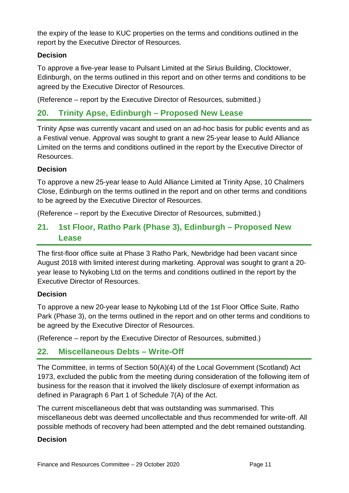the expiry of the lease to KUC properties on the terms and conditions outlined in the report by the Executive Director of Resources.

#### **Decision**

To approve a five-year lease to Pulsant Limited at the Sirius Building, Clocktower, Edinburgh, on the terms outlined in this report and on other terms and conditions to be agreed by the Executive Director of Resources.

(Reference – report by the Executive Director of Resources, submitted.)

### **20. Trinity Apse, Edinburgh – Proposed New Lease**

Trinity Apse was currently vacant and used on an ad-hoc basis for public events and as a Festival venue. Approval was sought to grant a new 25-year lease to Auld Alliance Limited on the terms and conditions outlined in the report by the Executive Director of Resources.

#### **Decision**

To approve a new 25-year lease to Auld Alliance Limited at Trinity Apse, 10 Chalmers Close, Edinburgh on the terms outlined in the report and on other terms and conditions to be agreed by the Executive Director of Resources.

(Reference – report by the Executive Director of Resources, submitted.)

### **21. 1st Floor, Ratho Park (Phase 3), Edinburgh – Proposed New Lease**

The first-floor office suite at Phase 3 Ratho Park, Newbridge had been vacant since August 2018 with limited interest during marketing. Approval was sought to grant a 20 year lease to Nykobing Ltd on the terms and conditions outlined in the report by the Executive Director of Resources.

#### **Decision**

To approve a new 20-year lease to Nykobing Ltd of the 1st Floor Office Suite, Ratho Park (Phase 3), on the terms outlined in the report and on other terms and conditions to be agreed by the Executive Director of Resources.

(Reference – report by the Executive Director of Resources, submitted.)

### **22. Miscellaneous Debts – Write-Off**

The Committee, in terms of Section 50(A)(4) of the Local Government (Scotland) Act 1973, excluded the public from the meeting during consideration of the following item of business for the reason that it involved the likely disclosure of exempt information as defined in Paragraph 6 Part 1 of Schedule 7(A) of the Act.

The current miscellaneous debt that was outstanding was summarised. This miscellaneous debt was deemed uncollectable and thus recommended for write-off. All possible methods of recovery had been attempted and the debt remained outstanding.